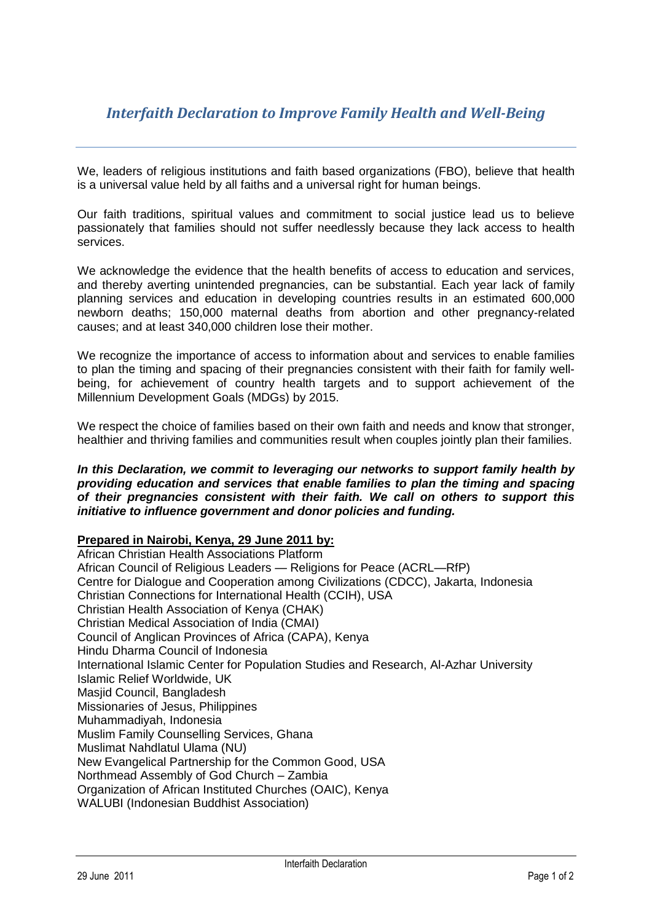# *Interfaith Declaration to Improve Family Health and Well-Being*

We, leaders of religious institutions and faith based organizations (FBO), believe that health is a universal value held by all faiths and a universal right for human beings.

Our faith traditions, spiritual values and commitment to social justice lead us to believe passionately that families should not suffer needlessly because they lack access to health services.

We acknowledge the evidence that the health benefits of access to education and services, and thereby averting unintended pregnancies, can be substantial. Each year lack of family planning services and education in developing countries results in an estimated 600,000 newborn deaths; 150,000 maternal deaths from abortion and other pregnancy-related causes; and at least 340,000 children lose their mother.

We recognize the importance of access to information about and services to enable families to plan the timing and spacing of their pregnancies consistent with their faith for family wellbeing, for achievement of country health targets and to support achievement of the Millennium Development Goals (MDGs) by 2015.

We respect the choice of families based on their own faith and needs and know that stronger. healthier and thriving families and communities result when couples jointly plan their families.

#### *In this Declaration, we commit to leveraging our networks to support family health by providing education and services that enable families to plan the timing and spacing of their pregnancies consistent with their faith. We call on others to support this initiative to influence government and donor policies and funding.*

### **Prepared in Nairobi, Kenya, 29 June 2011 by:**

African Christian Health Associations Platform African Council of Religious Leaders — Religions for Peace (ACRL—RfP) Centre for Dialogue and Cooperation among Civilizations (CDCC), Jakarta, Indonesia Christian Connections for International Health (CCIH), USA Christian Health Association of Kenya (CHAK) Christian Medical Association of India (CMAI) Council of Anglican Provinces of Africa (CAPA), Kenya Hindu Dharma Council of Indonesia International Islamic Center for Population Studies and Research, Al-Azhar University Islamic Relief Worldwide, UK Masjid Council, Bangladesh Missionaries of Jesus, Philippines Muhammadiyah, Indonesia Muslim Family Counselling Services, Ghana Muslimat Nahdlatul Ulama (NU) New Evangelical Partnership for the Common Good, USA Northmead Assembly of God Church – Zambia Organization of African Instituted Churches (OAIC), Kenya WALUBI (Indonesian Buddhist Association)